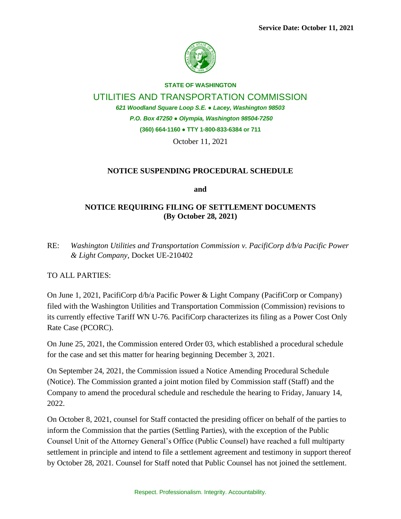

**STATE OF WASHINGTON**

UTILITIES AND TRANSPORTATION COMMISSION

*621 Woodland Square Loop S.E. ● Lacey, Washington 98503*

*P.O. Box 47250 ● Olympia, Washington 98504-7250*

**(360) 664-1160 ● TTY 1-800-833-6384 or 711**

October 11, 2021

## **NOTICE SUSPENDING PROCEDURAL SCHEDULE**

**and**

## **NOTICE REQUIRING FILING OF SETTLEMENT DOCUMENTS (By October 28, 2021)**

RE: *Washington Utilities and Transportation Commission v. PacifiCorp d/b/a Pacific Power & Light Company*, Docket UE-210402

TO ALL PARTIES:

On June 1, 2021, PacifiCorp d/b/a Pacific Power & Light Company (PacifiCorp or Company) filed with the Washington Utilities and Transportation Commission (Commission) revisions to its currently effective Tariff WN U-76. PacifiCorp characterizes its filing as a Power Cost Only Rate Case (PCORC).

On June 25, 2021, the Commission entered Order 03, which established a procedural schedule for the case and set this matter for hearing beginning December 3, 2021.

On September 24, 2021, the Commission issued a Notice Amending Procedural Schedule (Notice). The Commission granted a joint motion filed by Commission staff (Staff) and the Company to amend the procedural schedule and reschedule the hearing to Friday, January 14, 2022.

On October 8, 2021, counsel for Staff contacted the presiding officer on behalf of the parties to inform the Commission that the parties (Settling Parties), with the exception of the Public Counsel Unit of the Attorney General's Office (Public Counsel) have reached a full multiparty settlement in principle and intend to file a settlement agreement and testimony in support thereof by October 28, 2021. Counsel for Staff noted that Public Counsel has not joined the settlement.